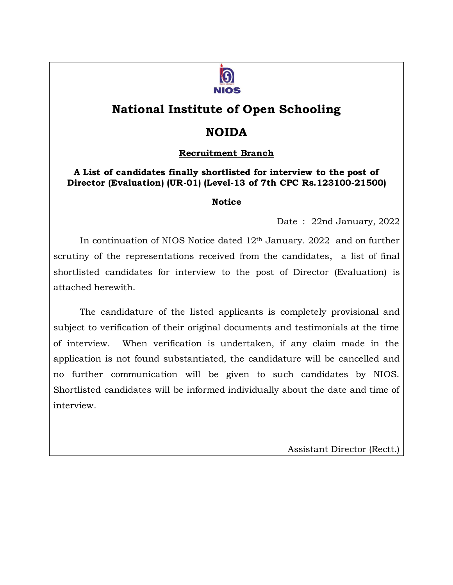

## **National Institute of Open Schooling**

### **NOIDA**

### **Recruitment Branch**

#### **A List of candidates finally shortlisted for interview to the post of Director (Evaluation) (UR-01) (Level-13 of 7th CPC Rs.123100-21500)**

### **Notice**

Date : 22nd January, 2022

In continuation of NIOS Notice dated 12th January. 2022 and on further scrutiny of the representations received from the candidates, a list of final shortlisted candidates for interview to the post of Director (Evaluation) is attached herewith.

The candidature of the listed applicants is completely provisional and subject to verification of their original documents and testimonials at the time of interview. When verification is undertaken, if any claim made in the application is not found substantiated, the candidature will be cancelled and no further communication will be given to such candidates by NIOS. Shortlisted candidates will be informed individually about the date and time of interview.

Assistant Director (Rectt.)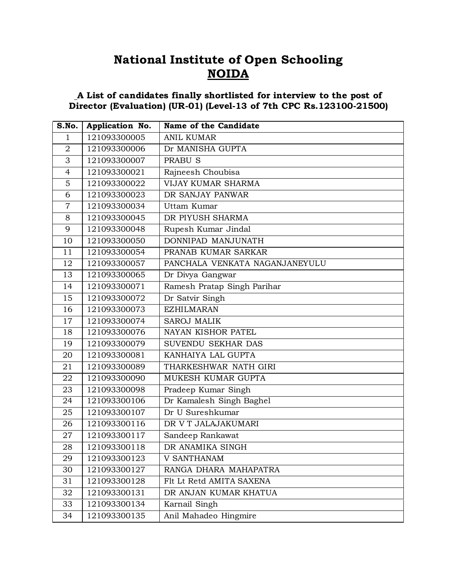# **National Institute of Open Schooling NOIDA**

#### **A List of candidates finally shortlisted for interview to the post of Director (Evaluation) (UR-01) (Level-13 of 7th CPC Rs.123100-21500)**

| S.No.          | Application No. | Name of the Candidate          |
|----------------|-----------------|--------------------------------|
| 1              | 121093300005    | <b>ANIL KUMAR</b>              |
| $\overline{2}$ | 121093300006    | Dr MANISHA GUPTA               |
| 3              | 121093300007    | <b>PRABUS</b>                  |
| $\overline{4}$ | 121093300021    | Rajneesh Choubisa              |
| 5              | 121093300022    | <b>VIJAY KUMAR SHARMA</b>      |
| 6              | 121093300023    | DR SANJAY PANWAR               |
| $\overline{7}$ | 121093300034    | Uttam Kumar                    |
| 8              | 121093300045    | DR PIYUSH SHARMA               |
| 9              | 121093300048    | Rupesh Kumar Jindal            |
| 10             | 121093300050    | DONNIPAD MANJUNATH             |
| 11             | 121093300054    | PRANAB KUMAR SARKAR            |
| 12             | 121093300057    | PANCHALA VENKATA NAGANJANEYULU |
| 13             | 121093300065    | Dr Divya Gangwar               |
| 14             | 121093300071    | Ramesh Pratap Singh Parihar    |
| 15             | 121093300072    | Dr Satvir Singh                |
| 16             | 121093300073    | <b>EZHILMARAN</b>              |
| 17             | 121093300074    | <b>SAROJ MALIK</b>             |
| 18             | 121093300076    | NAYAN KISHOR PATEL             |
| 19             | 121093300079    | SUVENDU SEKHAR DAS             |
| 20             | 121093300081    | KANHAIYA LAL GUPTA             |
| 21             | 121093300089    | THARKESHWAR NATH GIRI          |
| 22             | 121093300090    | MUKESH KUMAR GUPTA             |
| 23             | 121093300098    | Pradeep Kumar Singh            |
| 24             | 121093300106    | Dr Kamalesh Singh Baghel       |
| 25             | 121093300107    | Dr U Sureshkumar               |
| 26             | 121093300116    | DR V T JALAJAKUMARI            |
| 27             | 121093300117    | Sandeep Rankawat               |
| 28             | 121093300118    | DR ANAMIKA SINGH               |
| 29             | 121093300123    | <b>V SANTHANAM</b>             |
| 30             | 121093300127    | RANGA DHARA MAHAPATRA          |
| 31             | 121093300128    | Flt Lt Retd AMITA SAXENA       |
| 32             | 121093300131    | DR ANJAN KUMAR KHATUA          |
| 33             | 121093300134    | Karnail Singh                  |
| 34             | 121093300135    | Anil Mahadeo Hingmire          |